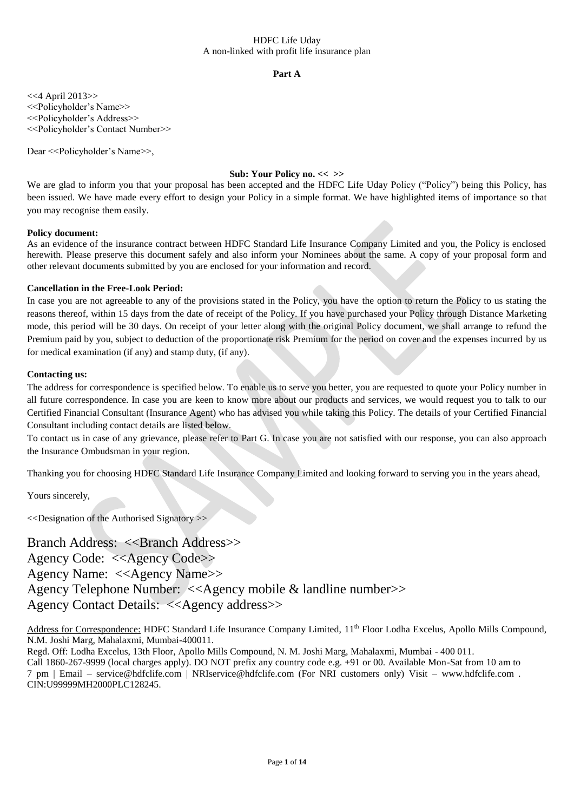## **Part A**

<<4 April 2013>> <<Policyholder's Name>> <<Policyholder's Address>> <<Policyholder's Contact Number>>

Dear <<Policyholder's Name>>,

# **Sub: Your Policy no. << >>**

We are glad to inform you that your proposal has been accepted and the HDFC Life Uday Policy ("Policy") being this Policy, has been issued. We have made every effort to design your Policy in a simple format. We have highlighted items of importance so that you may recognise them easily.

### **Policy document:**

As an evidence of the insurance contract between HDFC Standard Life Insurance Company Limited and you, the Policy is enclosed herewith. Please preserve this document safely and also inform your Nominees about the same. A copy of your proposal form and other relevant documents submitted by you are enclosed for your information and record.

# **Cancellation in the Free-Look Period:**

In case you are not agreeable to any of the provisions stated in the Policy, you have the option to return the Policy to us stating the reasons thereof, within 15 days from the date of receipt of the Policy. If you have purchased your Policy through Distance Marketing mode, this period will be 30 days. On receipt of your letter along with the original Policy document, we shall arrange to refund the Premium paid by you, subject to deduction of the proportionate risk Premium for the period on cover and the expenses incurred by us for medical examination (if any) and stamp duty, (if any).

# **Contacting us:**

The address for correspondence is specified below. To enable us to serve you better, you are requested to quote your Policy number in all future correspondence. In case you are keen to know more about our products and services, we would request you to talk to our Certified Financial Consultant (Insurance Agent) who has advised you while taking this Policy. The details of your Certified Financial Consultant including contact details are listed below.

To contact us in case of any grievance, please refer to Part G. In case you are not satisfied with our response, you can also approach the Insurance Ombudsman in your region.

Thanking you for choosing HDFC Standard Life Insurance Company Limited and looking forward to serving you in the years ahead,

Yours sincerely,

<<Designation of the Authorised Signatory >>

Branch Address: <<Br/>Shanch Address>>

Agency Code: <<Agency Code>>

Agency Name: <<Agency Name>>

Agency Telephone Number: <<Agency mobile & landline number>>

Agency Contact Details: <<Agency address>>

Address for Correspondence: HDFC Standard Life Insurance Company Limited, 11<sup>th</sup> Floor Lodha Excelus, Apollo Mills Compound, N.M. Joshi Marg, Mahalaxmi, Mumbai-400011.

Regd. Off: Lodha Excelus, 13th Floor, Apollo Mills Compound, N. M. Joshi Marg, Mahalaxmi, Mumbai - 400 011.

Call 1860-267-9999 (local charges apply). DO NOT prefix any country code e.g. +91 or 00. Available Mon-Sat from 10 am to 7 pm | Email – service@hdfclife.com | NRIservice@hdfclife.com (For NRI customers only) Visit – www.hdfclife.com . CIN:U99999MH2000PLC128245.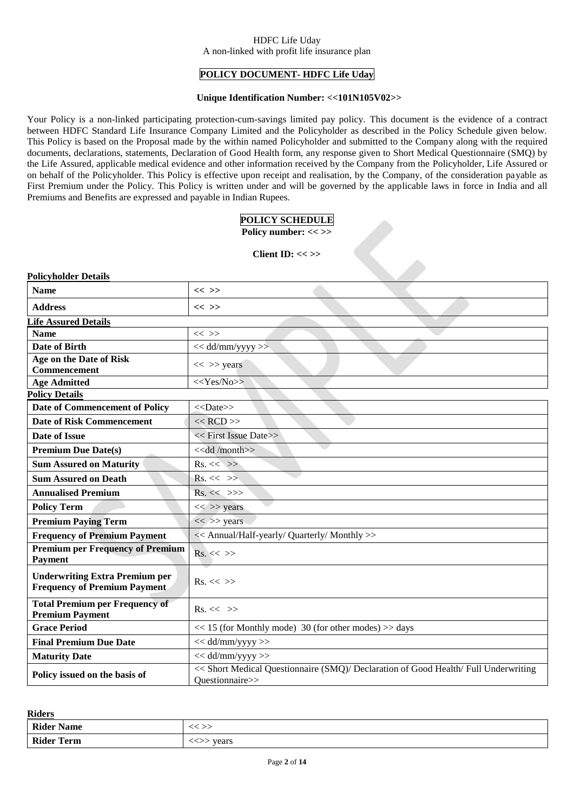# **POLICY DOCUMENT- HDFC Life Uday**

### **Unique Identification Number: <<101N105V02>>**

Your Policy is a non-linked participating protection-cum-savings limited pay policy. This document is the evidence of a contract between HDFC Standard Life Insurance Company Limited and the Policyholder as described in the Policy Schedule given below. This Policy is based on the Proposal made by the within named Policyholder and submitted to the Company along with the required documents, declarations, statements, Declaration of Good Health form, any response given to Short Medical Questionnaire (SMQ) by the Life Assured, applicable medical evidence and other information received by the Company from the Policyholder, Life Assured or on behalf of the Policyholder. This Policy is effective upon receipt and realisation, by the Company, of the consideration payable as First Premium under the Policy. This Policy is written under and will be governed by the applicable laws in force in India and all Premiums and Benefits are expressed and payable in Indian Rupees.

# **POLICY SCHEDULE**

**Policy number: << >>**

 $\epsilon$ 

### **Client ID: << >>**

| <b>Policyholder Details</b>                                                  |                                                                                                        |  |  |  |
|------------------------------------------------------------------------------|--------------------------------------------------------------------------------------------------------|--|--|--|
| <b>Name</b>                                                                  | $<<$ >>                                                                                                |  |  |  |
| <b>Address</b>                                                               | $<<$ >>                                                                                                |  |  |  |
| <b>Life Assured Details</b>                                                  |                                                                                                        |  |  |  |
| <b>Name</b>                                                                  | $<<$ >>                                                                                                |  |  |  |
| <b>Date of Birth</b>                                                         | $<<$ dd/mm/yyyy >>                                                                                     |  |  |  |
| Age on the Date of Risk<br>Commencement                                      | $<<$ >> years                                                                                          |  |  |  |
| <b>Age Admitted</b>                                                          | $<<$ Yes/No>>                                                                                          |  |  |  |
| <b>Policy Details</b>                                                        |                                                                                                        |  |  |  |
| Date of Commencement of Policy                                               | $<<$ Date>>                                                                                            |  |  |  |
| <b>Date of Risk Commencement</b>                                             | $<<$ RCD $>>$                                                                                          |  |  |  |
| Date of Issue                                                                | << First Issue Date>>                                                                                  |  |  |  |
| <b>Premium Due Date(s)</b>                                                   | < <dd month="">&gt;</dd>                                                                               |  |  |  |
| <b>Sum Assured on Maturity</b>                                               | $Rs. \ll \gg$                                                                                          |  |  |  |
| <b>Sum Assured on Death</b>                                                  | $Rs. \ll \gg$                                                                                          |  |  |  |
| <b>Annualised Premium</b>                                                    | $Rs. \ll \gg>$                                                                                         |  |  |  |
| <b>Policy Term</b>                                                           | $<<$ >> years                                                                                          |  |  |  |
| <b>Premium Paying Term</b>                                                   | $<<$ >> years                                                                                          |  |  |  |
| <b>Frequency of Premium Payment</b>                                          | << Annual/Half-yearly/ Quarterly/ Monthly >>                                                           |  |  |  |
| <b>Premium per Frequency of Premium</b><br><b>Payment</b>                    | $Rs. \ll \gg$                                                                                          |  |  |  |
| <b>Underwriting Extra Premium per</b><br><b>Frequency of Premium Payment</b> | $Rs. \ll \gg$                                                                                          |  |  |  |
| <b>Total Premium per Frequency of</b><br><b>Premium Payment</b>              | $Rs. \ll \gg$                                                                                          |  |  |  |
| <b>Grace Period</b>                                                          | $<< 15$ (for Monthly mode) 30 (for other modes) $>>$ days                                              |  |  |  |
| <b>Final Premium Due Date</b>                                                | $<<$ dd/mm/yyyy $>>$                                                                                   |  |  |  |
| <b>Maturity Date</b>                                                         | $<<$ dd/mm/yyyy $>>$                                                                                   |  |  |  |
| Policy issued on the basis of                                                | << Short Medical Questionnaire (SMQ)/ Declaration of Good Health/ Full Underwriting<br>Ouestionnaire>> |  |  |  |

**Riders**

| ------            |       |
|-------------------|-------|
| <b>Rider Name</b> |       |
| <b>Rider Term</b> | years |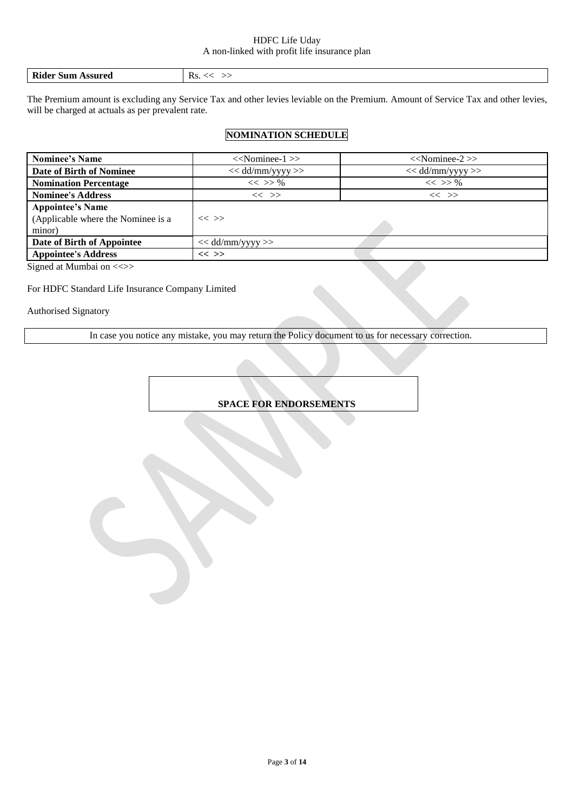| KS.<br><b>\ssured</b><br>Sun |  | Rider |  |
|------------------------------|--|-------|--|
|------------------------------|--|-------|--|

The Premium amount is excluding any Service Tax and other levies leviable on the Premium. Amount of Service Tax and other levies, will be charged at actuals as per prevalent rate.

# **NOMINATION SCHEDULE**

| <b>Nominee's Name</b>                                                   | $<<$ Nominee-1 $>>$ | $<<$ Nominee-2 $>>$ |
|-------------------------------------------------------------------------|---------------------|---------------------|
| Date of Birth of Nominee                                                | $<<$ dd/mm/yyyy >>  | $<<$ dd/mm/yyyy >>  |
| <b>Nomination Percentage</b>                                            | $<<$ >> %           | $<<$ >> %           |
| <b>Nominee's Address</b>                                                | $<<$ >>             | $<<$ >>             |
| <b>Appointee's Name</b><br>(Applicable where the Nominee is a<br>minor) | $<<$ >>             |                     |
| Date of Birth of Appointee                                              | $<<$ dd/mm/yyyy >>  |                     |
| <b>Appointee's Address</b>                                              | $<<$ >>             |                     |

Signed at Mumbai on <<>>

# For HDFC Standard Life Insurance Company Limited

Authorised Signatory

In case you notice any mistake, you may return the Policy document to us for necessary correction.

**SPACE FOR ENDORSEMENTS**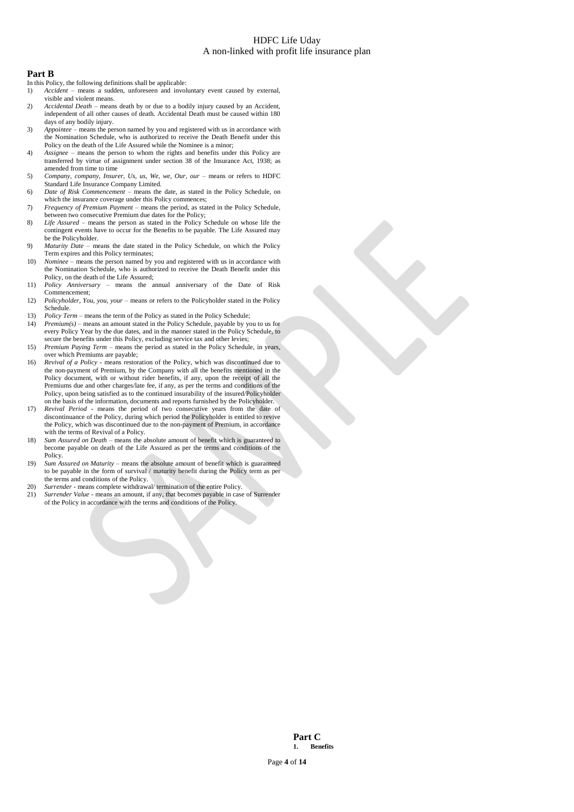### **Part B**

In this Policy, the following definitions shall be applicable:

- 1) *Accident –* means a sudden, unforeseen and involuntary event caused by external, visible and violent means.
- 2) *Accidental Death –* means death by or due to a bodily injury caused by an Accident, independent of all other causes of death. Accidental Death must be caused within 180 days of any bodily injury.
- 3) *Appointee –* means the person named by you and registered with us in accordance with the Nomination Schedule, who is authorized to receive the Death Benefit under this Policy on the death of the Life Assured while the Nominee is a minor;
- 4) *Assignee*  means the person to whom the rights and benefits under this Policy are transferred by virtue of assignment under section 38 of the Insurance Act, 1938; as amended from time to time
- 5) *Company, company, Insurer, Us, us, We, we, Our, our means or refers to HDFC* Standard Life Insurance Company Limited.
- 6) *Date of Risk Commencement –* means the date, as stated in the Policy Schedule, on which the insurance coverage under this Policy commences;
- 7) *Frequency of Premium Payment* means the period, as stated in the Policy Schedule, between two consecutive Premium due dates for the Policy;
- 8) *Life Assured* means the person as stated in the Policy Schedule on whose life the contingent events have to occur for the Benefits to be payable. The Life Assured may be the Policyholder.
- 9) *Maturity Date* means the date stated in the Policy Schedule, on which the Policy Term expires and this Policy terminates;
- 10) *Nominee –* means the person named by you and registered with us in accordance with the Nomination Schedule, who is authorized to receive the Death Benefit under this Policy, on the death of the Life Assured;
- 11) *Policy Anniversary –* means the annual anniversary of the Date of Risk Commencement;
- 12) *Policyholder, You, you, your* means or refers to the Policyholder stated in the Policy Schedule.
- 13) *Policy Term –* means the term of the Policy as stated in the Policy Schedule;
- 14) *Premium(s)* means an amount stated in the Policy Schedule, payable by you to us for every Policy Year by the due dates, and in the manner stated in the Policy Schedule, to secure the benefits under this Policy, excluding service tax and other levies;
- 15) *Premium Paying Term –* means the period as stated in the Policy Schedule, in years, over which Premiums are payable;
- 16) *Revival of a Policy* means restoration of the Policy, which was discontinued due to the non-payment of Premium, by the Company with all the benefits mentioned in the Policy document, with or without rider benefits, if any, upon the receipt of all the Premiums due and other charges/late fee, if any, as per the terms and conditions of the Policy, upon being satisfied as to the continued insurability of the insured/Policyholder on the basis of the information, documents and reports furnished by the Policyholder.
- 17) *Revival Period*  means the period of two consecutive years from the date of discontinuance of the Policy, during which period the Policyholder is entitled to revive the Policy, which was discontinued due to the non-payment of Premium, in accordance with the terms of Revival of a Policy.
- 18) *Sum Assured on Death –* means the absolute amount of benefit which is guaranteed to become payable on death of the Life Assured as per the terms and conditions of the Policy.
- 19) *Sum Assured on Maturity* means the absolute amount of benefit which is guaranteed to be payable in the form of survival / maturity benefit during the Policy term as per the terms and conditions of the Policy.
- 20) *Surrender* means complete withdrawal/ termination of the entire Policy.<br>21) *Surrender Value* means an amount, if any, that becomes payable in case
- 21) *Surrender Value* means an amount, if any, that becomes payable in case of Surrender of the Policy in accordance with the terms and conditions of the Policy.

**Part C 1. Benefits**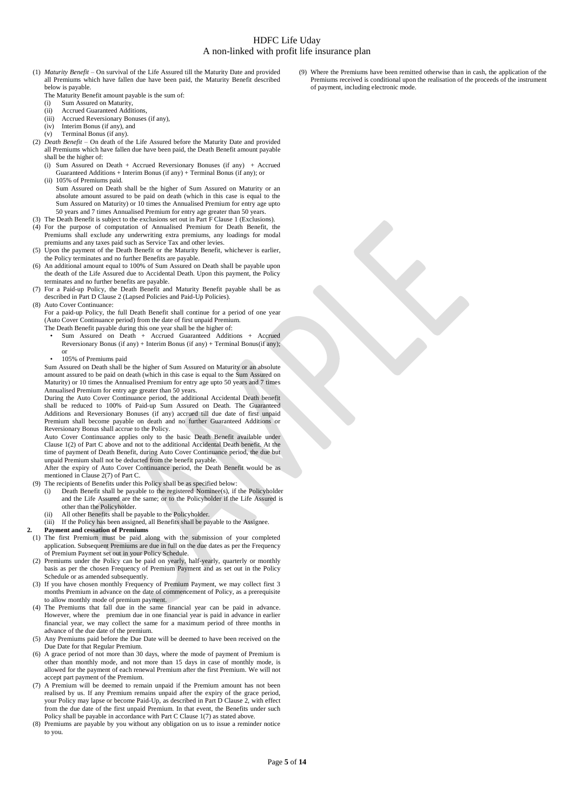- (1) *Maturity Benefit* On survival of the Life Assured till the Maturity Date and provided all Premiums which have fallen due have been paid, the Maturity Benefit described below is payable.
	- The Maturity Benefit amount payable is the sum of:
	- (i) Sum Assured on Maturity,
	- Accrued Guaranteed Additions,
	- (iii) Accrued Reversionary Bonuses (if any),
	- (iv) Interim Bonus (if any), and (v) Terminal Bonus (if any).
- (2) *Death Benefit* On death of the Life Assured before the Maturity Date and provided all Premiums which have fallen due have been paid, the Death Benefit amount payable shall be the higher of:
	- (i) Sum Assured on Death + Accrued Reversionary Bonuses (if any) + Accrued Guaranteed Additions + Interim Bonus (if any) + Terminal Bonus (if any); or
	- (ii) 105% of Premiums paid. Sum Assured on Death shall be the higher of Sum Assured on Maturity or an absolute amount assured to be paid on death (which in this case is equal to the Sum Assured on Maturity) or 10 times the Annualised Premium for entry age upto 50 years and 7 times Annualised Premium for entry age greater than 50 years.
- (3) The Death Benefit is subject to the exclusions set out in Part F Clause 1 (Exclusions).
- (4) For the purpose of computation of Annualised Premium for Death Benefit, the Premiums shall exclude any underwriting extra premiums, any loadings for modal premiums and any taxes paid such as Service Tax and other levies.
- (5) Upon the payment of the Death Benefit or the Maturity Benefit, whichever is earlier, the Policy terminates and no further Benefits are payable.
- (6) An additional amount equal to 100% of Sum Assured on Death shall be payable upon the death of the Life Assured due to Accidental Death. Upon this payment, the Policy terminates and no further benefits are payable.
- (7) For a Paid-up Policy, the Death Benefit and Maturity Benefit payable shall be as described in Part D Clause 2 (Lapsed Policies and Paid-Up Policies).
- (8) Auto Cover Continuance: For a paid-up Policy, the full Death Benefit shall continue for a period of one year (Auto Cover Continuance period) from the date of first unpaid Premium.
	- The Death Benefit payable during this one year shall be the higher of:
	- Sum Assured on Death + Accrued Guaranteed Additions + Accrued Reversionary Bonus (if any) + Interim Bonus (if any) + Terminal Bonus(if any); or
	- 105% of Premiums paid

Sum Assured on Death shall be the higher of Sum Assured on Maturity or an absolute amount assured to be paid on death (which in this case is equal to the Sum Assured on Maturity) or 10 times the Annualised Premium for entry age upto 50 years and 7 times Annualised Premium for entry age greater than 50 years.

During the Auto Cover Continuance period, the additional Accidental Death benefit shall be reduced to 100% of Paid-up Sum Assured on Death. The Guaranteed Additions and Reversionary Bonuses (if any) accrued till due date of first unpaid Premium shall become payable on death and no further Guaranteed Additions or Reversionary Bonus shall accrue to the Policy.

Auto Cover Continuance applies only to the basic Death Benefit available under Clause 1(2) of Part C above and not to the additional Accidental Death benefit. At the time of payment of Death Benefit, during Auto Cover Continuance period, the due but unpaid Premium shall not be deducted from the benefit payable.

After the expiry of Auto Cover Continuance period, the Death Benefit would be as mentioned in Clause 2(7) of Part C.

- (9) The recipients of Benefits under this Policy shall be as specified below:
	- (i) Death Benefit shall be payable to the registered Nominee(s), if the Policyholder and the Life Assured are the same; or to the Policyholder if the Life Assured is other than the Policyholder.
	- (ii) All other Benefits shall be payable to the Policyholder.<br>(iii) If the Policy has been assigned, all Benefits shall be pay If the Policy has been assigned, all Benefits shall be payable to the Assignee.
- 
- **2. Payment and cessation of Premiums**
- (1) The first Premium must be paid along with the submission of your completed application. Subsequent Premiums are due in full on the due dates as per the Frequency of Premium Payment set out in your Policy Schedule.
- (2) Premiums under the Policy can be paid on yearly, half-yearly, quarterly or monthly basis as per the chosen Frequency of Premium Payment and as set out in the Policy Schedule or as amended subsequently.
- (3) If you have chosen monthly Frequency of Premium Payment, we may collect first 3 months Premium in advance on the date of commencement of Policy, as a prerequisite to allow monthly mode of premium payment.
- (4) The Premiums that fall due in the same financial year can be paid in advance. However, where the premium due in one financial year is paid in advance in earlier financial year, we may collect the same for a maximum period of three months in advance of the due date of the premium.
- (5) Any Premiums paid before the Due Date will be deemed to have been received on the Due Date for that Regular Premium.
- (6) A grace period of not more than 30 days, where the mode of payment of Premium is other than monthly mode, and not more than 15 days in case of monthly mode, is allowed for the payment of each renewal Premium after the first Premium. We will not accept part payment of the Premium.
- (7) A Premium will be deemed to remain unpaid if the Premium amount has not been realised by us. If any Premium remains unpaid after the expiry of the grace period, your Policy may lapse or become Paid-Up, as described in Part D Clause 2, with effect from the due date of the first unpaid Premium. In that event, the Benefits under such Policy shall be payable in accordance with Part C Clause 1(7) as stated above.
- (8) Premiums are payable by you without any obligation on us to issue a reminder notice to you.

Where the Premiums have been remitted otherwise than in cash, the application of the Premiums received is conditional upon the realisation of the proceeds of the instrument of payment, including electronic mode.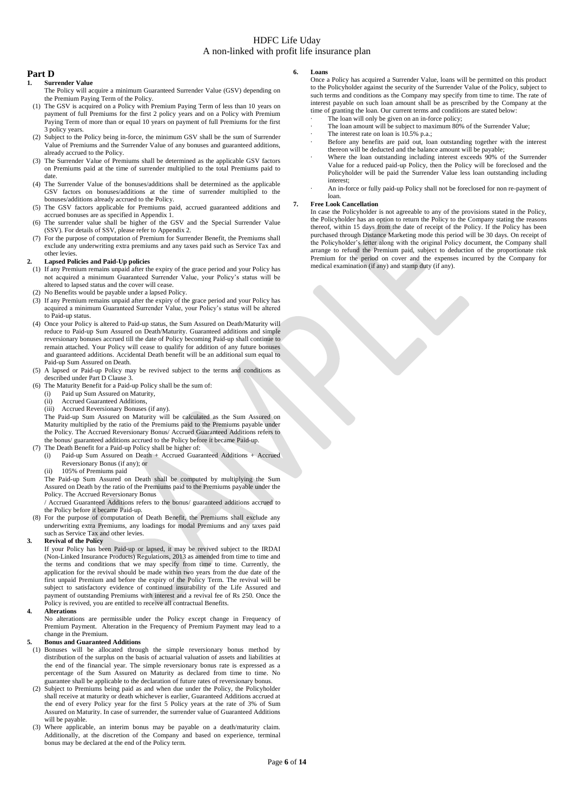### **Part D**

### **1. Surrender Value**

- The Policy will acquire a minimum Guaranteed Surrender Value (GSV) depending on the Premium Paying Term of the Policy.
- (1) The GSV is acquired on a Policy with Premium Paying Term of less than 10 years on payment of full Premiums for the first 2 policy years and on a Policy with Premium Paying Term of more than or equal 10 years on payment of full Premiums for the first 3 policy years.
- (2) Subject to the Policy being in-force, the minimum GSV shall be the sum of Surrender Value of Premiums and the Surrender Value of any bonuses and guaranteed additions, already accrued to the Policy.
- (3) The Surrender Value of Premiums shall be determined as the applicable GSV factors on Premiums paid at the time of surrender multiplied to the total Premiums paid to date.
- (4) The Surrender Value of the bonuses/additions shall be determined as the applicable GSV factors on bonuses/additions at the time of surrender multiplied to the bonuses/additions already accrued to the Policy.
- (5) The GSV factors applicable for Premiums paid, accrued guaranteed additions and accrued bonuses are as specified in Appendix 1.
- (6) The surrender value shall be higher of the GSV and the Special Surrender Value (SSV). For details of SSV, please refer to Appendix 2.
- (7) For the purpose of computation of Premium for Surrender Benefit, the Premiums shall exclude any underwriting extra premiums and any taxes paid such as Service Tax and other levies.

#### **2. Lapsed Policies and Paid-Up policies**

- (1) If any Premium remains unpaid after the expiry of the grace period and your Policy has not acquired a minimum Guaranteed Surrender Value, your Policy's status will be altered to lapsed status and the cover will cease.
- (2) No Benefits would be payable under a lapsed Policy.
- (3) If any Premium remains unpaid after the expiry of the grace period and your Policy has acquired a minimum Guaranteed Surrender Value, your Policy's status will be altered to Paid-up status.
- (4) Once your Policy is altered to Paid-up status, the Sum Assured on Death/Maturity will reduce to Paid-up Sum Assured on Death/Maturity. Guaranteed additions and simple reversionary bonuses accrued till the date of Policy becoming Paid-up shall continue to remain attached. Your Policy will cease to qualify for addition of any future bonuses and guaranteed additions. Accidental Death benefit will be an additional sum equal to Paid-up Sum Assured on Death.

(5) A lapsed or Paid-up Policy may be revived subject to the terms and conditions as described under Part D Clause 3.

- (6) The Maturity Benefit for a Paid-up Policy shall be the sum of:
	- (i) Paid up Sum Assured on Maturity,
	- (ii) Accrued Guaranteed Additions,
	- (iii) Accrued Reversionary Bonuses (if any).

The Paid-up Sum Assured on Maturity will be calculated as the Sum Assured on Maturity multiplied by the ratio of the Premiums paid to the Premiums payable under the Policy. The Accrued Reversionary Bonus/ Accrued Guaranteed Additions refers to the bonus/ guaranteed additions accrued to the Policy before it became Paid-up.

- (7) The Death Benefit for a Paid-up Policy shall be higher of:
	- (i) Paid-up Sum Assured on Death + Accrued Guaranteed Additions + Accrued Reversionary Bonus (if any); or
	- (ii) 105% of Premiums paid

The Paid-up Sum Assured on Death shall be computed by multiplying the Sum Assured on Death by the ratio of the Premiums paid to the Premiums payable under the Policy. The Accrued Reversionary Bonus

/ Accrued Guaranteed Additions refers to the bonus/ guaranteed additions accrued to the Policy before it became Paid-up.

- (8) For the purpose of computation of Death Benefit, the Premiums shall exclude any underwriting extra Premiums, any loadings for modal Premiums and any taxes paid such as Service Tax and other levies
- **3. Revival of the Policy**

If your Policy has been Paid-up or lapsed, it may be revived subject to the IRDAI (Non-Linked Insurance Products) Regulations, 2013 as amended from time to time and the terms and conditions that we may specify from time to time. Currently, the application for the revival should be made within two years from the due date of the first unpaid Premium and before the expiry of the Policy Term. The revival will be subject to satisfactory evidence of continued insurability of the Life Assured and payment of outstanding Premiums with interest and a revival fee of Rs 250. Once the Policy is revived, you are entitled to receive all contractual Benefits.

### **4. Alterations**

No alterations are permissible under the Policy except change in Frequency of Premium Payment. Alteration in the Frequency of Premium Payment may lead to a change in the Premium.

### **5. Bonus and Guaranteed Additions**

(1) Bonuses will be allocated through the simple reversionary bonus method by distribution of the surplus on the basis of actuarial valuation of assets and liabilities at the end of the financial year. The simple reversionary bonus rate is expressed as a percentage of the Sum Assured on Maturity as declared from time to time. No guarantee shall be applicable to the declaration of future rates of reversionary bonus.

- (2) Subject to Premiums being paid as and when due under the Policy, the Policyholder shall receive at maturity or death whichever is earlier, Guaranteed Additions accrued at the end of every Policy year for the first 5 Policy years at the rate of 3% of Sum Assured on Maturity. In case of surrender, the surrender value of Guaranteed Additions will be payable.
- (3) Where applicable, an interim bonus may be payable on a death/maturity claim. Additionally, at the discretion of the Company and based on experience, terminal bonus may be declared at the end of the Policy term.

#### **6. Loans**

Once a Policy has acquired a Surrender Value, loans will be permitted on this product to the Policyholder against the security of the Surrender Value of the Policy, subject to such terms and conditions as the Company may specify from time to time. The rate of interest payable on such loan amount shall be as prescribed by the Company at the time of granting the loan. Our current terms and conditions are stated below:

- The loan will only be given on an in-force policy;
- The loan amount will be subject to maximum 80% of the Surrender Value;
- The interest rate on loan is 10.5% p.a.;
- Before any benefits are paid out, loan outstanding together with the interest thereon will be deducted and the balance amount will be payable;
- Where the loan outstanding including interest exceeds 90% of the Surrender Value for a reduced paid-up Policy, then the Policy will be foreclosed and the Policyholder will be paid the Surrender Value less loan outstanding including interest;
- · An in-force or fully paid-up Policy shall not be foreclosed for non re-payment of loan.

### **7. Free Look Cancellation**

In case the Policyholder is not agreeable to any of the provisions stated in the Policy, the Policyholder has an option to return the Policy to the Company stating the reasons thereof, within 15 days from the date of receipt of the Policy. If the Policy has been purchased through Distance Marketing mode this period will be 30 days. On receipt of the Policyholder's letter along with the original Policy document, the Company shall arrange to refund the Premium paid, subject to deduction of the proportionate risk Premium for the period on cover and the expenses incurred by the Company for medical examination (if any) and stamp duty (if any).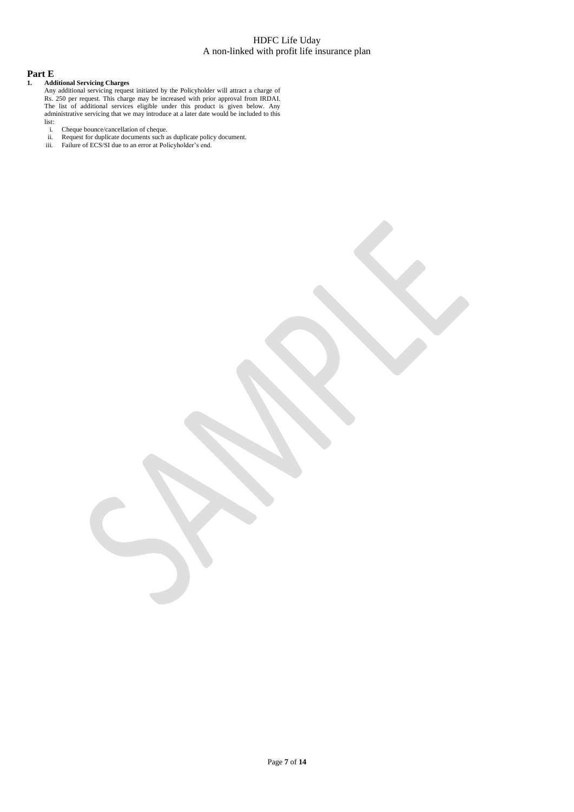### **Part E**

### **1. Additional Servicing Charges**

Any additional servicing request initiated by the Policyholder will attract a charge of Rs. 250 per request. This charge may be increased with prior approval from IRDAI. The list of additional services eligible under this product is given below. Any administrative servicing that we may introduce at a later date would be included to this  $\frac{1}{1}$  i.

- i. Cheque bounce/cancellation of cheque.
- ii. Request for duplicate documents such as duplicate policy document.
- iii. Failure of ECS/SI due to an error at Policyholder's end.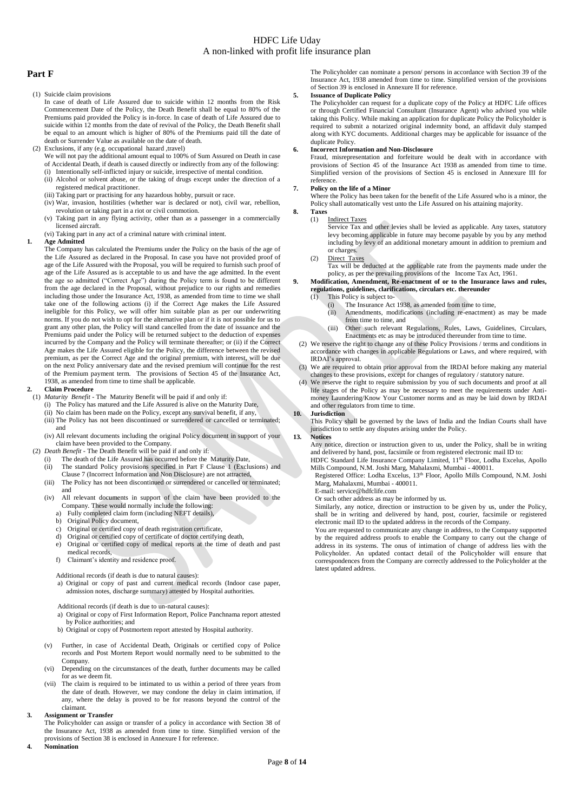### **Part F**

(1) Suicide claim provisions

In case of death of Life Assured due to suicide within 12 months from the Risk Commencement Date of the Policy, the Death Benefit shall be equal to 80% of the Premiums paid provided the Policy is in-force. In case of death of Life Assured due to suicide within 12 months from the date of revival of the Policy, the Death Benefit shall be equal to an amount which is higher of 80% of the Premiums paid till the date of death or Surrender Value as available on the date of death.

- (2) Exclusions, if any (e.g. occupational hazard ,travel)
	- We will not pay the additional amount equal to 100% of Sum Assured on Death in case of Accidental Death, if death is caused directly or indirectly from any of the following:
	- (i) Intentionally self-inflicted injury or suicide, irrespective of mental condition. (ii) Alcohol or solvent abuse, or the taking of drugs except under the direction of a registered medical practitioner.
	- (iii) Taking part or practising for any hazardous hobby, pursuit or race.
	- (iv) War, invasion, hostilities (whether war is declared or not), civil war, rebellion, revolution or taking part in a riot or civil commotion.
	- (v) Taking part in any flying activity, other than as a passenger in a commercially licensed aircraft.
- (vi) Taking part in any act of a criminal nature with criminal intent.

#### **1. Age Admitted**

The Company has calculated the Premiums under the Policy on the basis of the age of the Life Assured as declared in the Proposal. In case you have not provided proof of age of the Life Assured with the Proposal, you will be required to furnish such proof of age of the Life Assured as is acceptable to us and have the age admitted. In the event the age so admitted ("Correct Age") during the Policy term is found to be different from the age declared in the Proposal, without prejudice to our rights and remedies including those under the Insurance Act, 1938, as amended from time to time we shall take one of the following actions (i) if the Correct Age makes the Life Assured ineligible for this Policy, we will offer him suitable plan as per our underwriting norms. If you do not wish to opt for the alternative plan or if it is not possible for us to grant any other plan, the Policy will stand cancelled from the date of issuance and the Premiums paid under the Policy will be returned subject to the deduction of expenses incurred by the Company and the Policy will terminate thereafter; or (ii) if the Correct Age makes the Life Assured eligible for the Policy, the difference between the revised premium, as per the Correct Age and the original premium, with interest, will be due on the next Policy anniversary date and the revised premium will continue for the rest of the Premium payment term. The provisions of Section 45 of the Insurance Act, 1938, as amended from time to time shall be applicable.

### **2. Claim Procedure**

- (1) *Maturity Benefit* The Maturity Benefit will be paid if and only if:
	- (i) The Policy has matured and the Life Assured is alive on the Maturity Date,
	- (ii) No claim has been made on the Policy, except any survival benefit, if any, (iii) The Policy has not been discontinued or surrendered or cancelled or terminated; and
	- (iv) All relevant documents including the original Policy document in support of your claim have been provided to the Company.
- (2) *Death Benefit -* The Death Benefit will be paid if and only if:
	- The death of the Life Assured has occurred before the Maturity Date,
	- (ii) The standard Policy provisions specified in Part F Clause 1 (Exclusions) and
	- Clause 7 (Incorrect Information and Non Disclosure) are not attracted, (iii) The Policy has not been discontinued or surrendered or cancelled or terminated; and
	- (iv) All relevant documents in support of the claim have been provided to the Company. These would normally include the following:
		- a) Fully completed claim form (including NEFT details),
		- b) Original Policy document,
		- c) Original or certified copy of death registration certificate,
		- d) Original or certified copy of certificate of doctor certifying death,
		- e) Original or certified copy of medical reports at the time of death and past medical records,
		- f) Claimant's identity and residence proof.

Additional records (if death is due to natural causes):

a) Original or copy of past and current medical records (Indoor case paper, admission notes, discharge summary) attested by Hospital authorities.

- Additional records (if death is due to un-natural causes):
- a) Original or copy of First Information Report, Police Panchnama report attested by Police authorities; and
- b) Original or copy of Postmortem report attested by Hospital authority.
- (v) Further, in case of Accidental Death, Originals or certified copy of Police records and Post Mortem Report would normally need to be submitted to the Company.
- (vi) Depending on the circumstances of the death, further documents may be called for as we deem fit.
- (vii) The claim is required to be intimated to us within a period of three years from the date of death. However, we may condone the delay in claim intimation, if any, where the delay is proved to be for reasons beyond the control of the claimant.

### **3. Assignment or Transfer**

The Policyholder can assign or transfer of a policy in accordance with Section 38 of the Insurance Act, 1938 as amended from time to time. Simplified version of the provisions of Section 38 is enclosed in Annexure I for reference.

**4. Nomination**

The Policyholder can nominate a person/ persons in accordance with Section 39 of the Insurance Act, 1938 amended from time to time. Simplified version of the provisions of Section 39 is enclosed in Annexure II for reference.

### **5. Issuance of Duplicate Policy**

The Policyholder can request for a duplicate copy of the Policy at HDFC Life offices or through Certified Financial Consultant (Insurance Agent) who advised you while taking this Policy. While making an application for duplicate Policy the Policyholder is required to submit a notarized original indemnity bond, an affidavit duly stamped along with KYC documents. Additional charges may be applicable for issuance of the duplicate Policy.

#### **6. Incorrect Information and Non-Disclosure**

Fraud, misrepresentation and forfeiture would be dealt with in accordance with provisions of Section 45 of the Insurance Act 1938 as amended from time to time. Simplified version of the provisions of Section 45 is enclosed in Annexure III for reference.

#### **7. Policy on the life of a Minor**

Where the Policy has been taken for the benefit of the Life Assured who is a minor, the Policy shall automatically vest unto the Life Assured on his attaining majority.

**8. Taxes** 

#### (1) Indirect Taxes

Service Tax and other levies shall be levied as applicable. Any taxes, statutory levy becoming applicable in future may become payable by you by any method including by levy of an additional monetary amount in addition to premium and or charges.

- (2) Direct Taxes
	- Tax will be deducted at the applicable rate from the payments made under the policy, as per the prevailing provisions of the Income Tax Act, 1961.

### **9. Modification, Amendment, Re-enactment of or to the Insurance laws and rules, regulations, guidelines, clarifications, circulars etc. thereunder**

- (1) This Policy is subject to-
	- The Insurance Act 1938, as amended from time to time,
	- (ii) Amendments, modifications (including re-enactment) as may be made from time to time, and (iii) Other such relevant Regulations, Rules, Laws, Guidelines, Circulars,
- Enactments etc as may be introduced thereunder from time to time.
- (2) We reserve the right to change any of these Policy Provisions / terms and conditions in accordance with changes in applicable Regulations or Laws, and where required, with IRDAI's approval.
- We are required to obtain prior approval from the IRDAI before making any material changes to these provisions, except for changes of regulatory / statutory nature.
- (4) We reserve the right to require submission by you of such documents and proof at all life stages of the Policy as may be necessary to meet the requirements under Antimoney Laundering/Know Your Customer norms and as may be laid down by IRDAI and other regulators from time to time.

#### **10. Jurisdiction**

This Policy shall be governed by the laws of India and the Indian Courts shall have jurisdiction to settle any disputes arising under the Policy.

#### **13. Notices**

Any notice, direction or instruction given to us, under the Policy, shall be in writing and delivered by hand, post, facsimile or from registered electronic mail ID to: HDFC Standard Life Insurance Company Limited, 11<sup>th</sup> Floor, Lodha Excelus, Apollo

Mills Compound, N.M. Joshi Marg, Mahalaxmi, Mumbai - 400011.

Registered Office: Lodha Excelus, 13th Floor, Apollo Mills Compound, N.M. Joshi Marg, Mahalaxmi, Mumbai - 400011.

### E-mail: service@hdfclife.com

Or such other address as may be informed by us.

Similarly, any notice, direction or instruction to be given by us, under the Policy, shall be in writing and delivered by hand, post, courier, facsimile or registered electronic mail ID to the updated address in the records of the Company.

You are requested to communicate any change in address, to the Company supported by the required address proofs to enable the Company to carry out the change of address in its systems. The onus of intimation of change of address lies with the Policyholder. An updated contact detail of the Policyholder will ensure that correspondences from the Company are correctly addressed to the Policyholder at the latest updated address.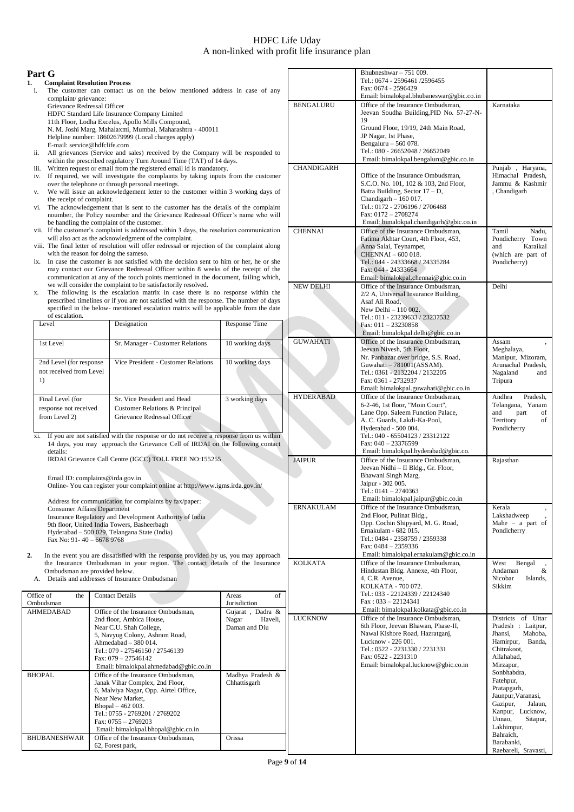|                                                                                                                                                    | Part G                              |                                                                                                                                                 |                                                                                        |                    |                                                                            | Bhubneshwar $-751009$ .                                                      |                                         |
|----------------------------------------------------------------------------------------------------------------------------------------------------|-------------------------------------|-------------------------------------------------------------------------------------------------------------------------------------------------|----------------------------------------------------------------------------------------|--------------------|----------------------------------------------------------------------------|------------------------------------------------------------------------------|-----------------------------------------|
| 1.                                                                                                                                                 | <b>Complaint Resolution Process</b> |                                                                                                                                                 |                                                                                        |                    |                                                                            | Tel.: 0674 - 2596461 /2596455                                                |                                         |
| i.                                                                                                                                                 |                                     |                                                                                                                                                 | The customer can contact us on the below mentioned address in case of any              |                    |                                                                            | Fax: 0674 - 2596429                                                          |                                         |
|                                                                                                                                                    | complaint/grievance:                |                                                                                                                                                 |                                                                                        |                    |                                                                            | Email: bimalokpal.bhubaneswar@gbic.co.in                                     |                                         |
|                                                                                                                                                    | Grievance Redressal Officer         |                                                                                                                                                 |                                                                                        |                    | <b>BENGALURU</b>                                                           | Office of the Insurance Ombudsman,                                           | Karnataka                               |
|                                                                                                                                                    |                                     |                                                                                                                                                 | HDFC Standard Life Insurance Company Limited                                           |                    |                                                                            | Jeevan Soudha Building, PID No. 57-27-N-                                     |                                         |
|                                                                                                                                                    |                                     |                                                                                                                                                 | 11th Floor, Lodha Excelus, Apollo Mills Compound,                                      |                    |                                                                            | 19                                                                           |                                         |
|                                                                                                                                                    |                                     |                                                                                                                                                 | N. M. Joshi Marg, Mahalaxmi, Mumbai, Maharashtra - 400011                              |                    |                                                                            | Ground Floor, 19/19, 24th Main Road,                                         |                                         |
|                                                                                                                                                    |                                     |                                                                                                                                                 | Helpline number: 18602679999 (Local charges apply)                                     |                    |                                                                            | JP Nagar, Ist Phase,<br>Bengaluru $-560078$ .                                |                                         |
| ii.                                                                                                                                                | E-mail: service@hdfclife.com        |                                                                                                                                                 | All grievances (Service and sales) received by the Company will be responded to        |                    |                                                                            | Tel.: 080 - 26652048 / 26652049                                              |                                         |
|                                                                                                                                                    |                                     |                                                                                                                                                 | within the prescribed regulatory Turn Around Time (TAT) of 14 days.                    |                    |                                                                            | Email: bimalokpal.bengaluru@gbic.co.in                                       |                                         |
|                                                                                                                                                    |                                     |                                                                                                                                                 | iii. Written request or email from the registered email id is mandatory.               |                    | CHANDIGARH                                                                 |                                                                              | Punjab, Haryana,                        |
| iv.                                                                                                                                                |                                     |                                                                                                                                                 | If required, we will investigate the complaints by taking inputs from the customer     |                    |                                                                            | Office of the Insurance Ombudsman,                                           | Himachal Pradesh,                       |
|                                                                                                                                                    |                                     |                                                                                                                                                 | over the telephone or through personal meetings.                                       |                    |                                                                            | S.C.O. No. 101, 102 & 103, 2nd Floor,                                        | Jammu & Kashmir                         |
| V.                                                                                                                                                 |                                     |                                                                                                                                                 | We will issue an acknowledgement letter to the customer within 3 working days of       |                    |                                                                            | Batra Building, Sector $17 - D$ ,                                            | , Chandigarh                            |
|                                                                                                                                                    | the receipt of complaint.           |                                                                                                                                                 |                                                                                        |                    |                                                                            | Chandigarh $-160017$ .                                                       |                                         |
|                                                                                                                                                    |                                     |                                                                                                                                                 | vi. The acknowledgement that is sent to the customer has the details of the complaint  |                    |                                                                            | Tel.: 0172 - 2706196 / 2706468                                               |                                         |
| noumber, the Policy noumber and the Grievance Redressal Officer's name who will<br>be handling the complaint of the customer.                      |                                     |                                                                                                                                                 | Fax: 0172 - 2708274<br>Email: bimalokpal.chandigarh@gbic.co.in                         |                    |                                                                            |                                                                              |                                         |
|                                                                                                                                                    |                                     |                                                                                                                                                 |                                                                                        |                    | <b>CHENNAI</b>                                                             | Office of the Insurance Ombudsman,                                           | Tamil<br>Nadu,                          |
| vii. If the customer's complaint is addressed within 3 days, the resolution communication<br>will also act as the acknowledgment of the complaint. |                                     |                                                                                                                                                 | Fatima Akhtar Court, 4th Floor, 453,                                                   | Pondicherry Town   |                                                                            |                                                                              |                                         |
| viii. The final letter of resolution will offer redressal or rejection of the complaint along                                                      |                                     |                                                                                                                                                 | Anna Salai, Teynampet,                                                                 | Karaikal<br>and    |                                                                            |                                                                              |                                         |
| with the reason for doing the sameso.                                                                                                              |                                     |                                                                                                                                                 | CHENNAI - 600 018.                                                                     | (which are part of |                                                                            |                                                                              |                                         |
| ix. In case the customer is not satisfied with the decision sent to him or her, he or she                                                          |                                     |                                                                                                                                                 | Tel.: 044 - 24333668 / 24335284                                                        | Pondicherry)       |                                                                            |                                                                              |                                         |
|                                                                                                                                                    |                                     | may contact our Grievance Redressal Officer within 8 weeks of the receipt of the                                                                |                                                                                        |                    |                                                                            | Fax: 044 - 24333664                                                          |                                         |
|                                                                                                                                                    |                                     | communication at any of the touch points mentioned in the document, failing which,                                                              |                                                                                        |                    |                                                                            | Email: bimalokpal.chennai@gbic.co.in                                         | Delhi                                   |
| х.                                                                                                                                                 |                                     | we will consider the complaint to be satisfactorily resolved.<br>The following is the escalation matrix in case there is no response within the |                                                                                        | <b>NEW DELHI</b>   | Office of the Insurance Ombudsman,<br>2/2 A, Universal Insurance Building, |                                                                              |                                         |
|                                                                                                                                                    |                                     | prescribed timelines or if you are not satisfied with the response. The number of days                                                          |                                                                                        |                    | Asaf Ali Road,                                                             |                                                                              |                                         |
|                                                                                                                                                    |                                     |                                                                                                                                                 | specified in the below- mentioned escalation matrix will be applicable from the date   |                    |                                                                            | New Delhi - 110 002.                                                         |                                         |
|                                                                                                                                                    | of escalation.                      |                                                                                                                                                 |                                                                                        |                    |                                                                            | Tel.: 011 - 23239633 / 23237532                                              |                                         |
|                                                                                                                                                    | Level                               |                                                                                                                                                 | Designation                                                                            | Response Time      |                                                                            | Fax: $011 - 23230858$                                                        |                                         |
|                                                                                                                                                    |                                     |                                                                                                                                                 |                                                                                        |                    |                                                                            | Email: bimalokpal.delhi@gbic.co.in                                           |                                         |
|                                                                                                                                                    | 1st Level                           |                                                                                                                                                 | Sr. Manager - Customer Relations                                                       | 10 working days    | <b>GUWAHATI</b>                                                            | Office of the Insurance Ombudsman,                                           | Assam                                   |
|                                                                                                                                                    |                                     |                                                                                                                                                 |                                                                                        |                    |                                                                            | Jeevan Nivesh, 5th Floor,                                                    | Meghalaya,<br>Manipur, Mizoram,         |
|                                                                                                                                                    | 2nd Level (for response             |                                                                                                                                                 | Vice President - Customer Relations                                                    | 10 working days    |                                                                            | Nr. Panbazar over bridge, S.S. Road,<br>Guwahati - 781001 (ASSAM).           | Arunachal Pradesh,                      |
|                                                                                                                                                    | not received from Level             |                                                                                                                                                 |                                                                                        |                    |                                                                            | Tel.: 0361 - 2132204 / 2132205                                               | Nagaland<br>and                         |
|                                                                                                                                                    | 1)                                  |                                                                                                                                                 |                                                                                        |                    |                                                                            | Fax: 0361 - 2732937                                                          | Tripura                                 |
|                                                                                                                                                    |                                     |                                                                                                                                                 |                                                                                        |                    |                                                                            | Email: bimalokpal.guwahati@gbic.co.in                                        |                                         |
|                                                                                                                                                    | Final Level (for                    |                                                                                                                                                 | Sr. Vice President and Head                                                            | 3 working days     | <b>HYDERABAD</b>                                                           | Office of the Insurance Ombudsman,                                           | Andhra<br>Pradesh,                      |
|                                                                                                                                                    | response not received               |                                                                                                                                                 | Customer Relations & Principal                                                         |                    |                                                                            | 6-2-46, 1st floor, "Moin Court",                                             | Telangana, Yanam                        |
|                                                                                                                                                    | from Level 2)                       |                                                                                                                                                 | Grievance Redressal Officer                                                            |                    |                                                                            | Lane Opp. Saleem Function Palace,                                            | and<br>part<br>of<br>of                 |
|                                                                                                                                                    |                                     |                                                                                                                                                 |                                                                                        |                    |                                                                            | A. C. Guards, Lakdi-Ka-Pool,<br>Hyderabad - 500 004.                         | Territory<br>Pondicherry                |
| xi.                                                                                                                                                |                                     |                                                                                                                                                 | If you are not satisfied with the response or do not receive a response from us within |                    |                                                                            | Tel.: 040 - 65504123 / 23312122                                              |                                         |
|                                                                                                                                                    |                                     |                                                                                                                                                 | 14 days, you may approach the Grievance Cell of IRDAI on the following contact         |                    |                                                                            | Fax: $040 - 23376599$                                                        |                                         |
|                                                                                                                                                    | details:                            |                                                                                                                                                 |                                                                                        |                    |                                                                            | Email: bimalokpal.hyderabad@gbic.co.                                         |                                         |
|                                                                                                                                                    |                                     |                                                                                                                                                 | IRDAI Grievance Call Centre (IGCC) TOLL FREE NO:155255                                 |                    | <b>JAIPUR</b>                                                              | Office of the Insurance Ombudsman,                                           | Rajasthan                               |
|                                                                                                                                                    |                                     |                                                                                                                                                 |                                                                                        |                    |                                                                            | Jeevan Nidhi - II Bldg., Gr. Floor,                                          |                                         |
|                                                                                                                                                    | Email ID: complaints@irda.gov.in    |                                                                                                                                                 |                                                                                        |                    |                                                                            | Bhawani Singh Marg,<br>Jaipur - 302 005.                                     |                                         |
|                                                                                                                                                    |                                     |                                                                                                                                                 | Online-You can register your complaint online at http://www.igms.irda.gov.in/          |                    |                                                                            | Tel.: $0141 - 2740363$                                                       |                                         |
|                                                                                                                                                    |                                     |                                                                                                                                                 | Address for communication for complaints by fax/paper:                                 |                    |                                                                            | Email: bimalokpal.jaipur@gbic.co.in                                          |                                         |
|                                                                                                                                                    | <b>Consumer Affairs Department</b>  |                                                                                                                                                 |                                                                                        |                    | <b>ERNAKULAM</b>                                                           | Office of the Insurance Ombudsman,                                           | Kerala                                  |
|                                                                                                                                                    |                                     |                                                                                                                                                 | Insurance Regulatory and Development Authority of India                                |                    |                                                                            | 2nd Floor, Pulinat Bldg.,                                                    | Lakshadweep                             |
|                                                                                                                                                    |                                     |                                                                                                                                                 | 9th floor, United India Towers, Basheerbagh                                            |                    |                                                                            | Opp. Cochin Shipyard, M. G. Road,                                            | Mahe $-$ a part of                      |
|                                                                                                                                                    |                                     |                                                                                                                                                 | Hyderabad - 500 029, Telangana State (India)                                           |                    |                                                                            | Ernakulam - 682 015.                                                         | Pondicherry                             |
|                                                                                                                                                    | Fax No: 91-40 - 6678 9768           |                                                                                                                                                 |                                                                                        |                    |                                                                            | Tel.: 0484 - 2358759 / 2359338                                               |                                         |
|                                                                                                                                                    |                                     |                                                                                                                                                 |                                                                                        |                    |                                                                            | Fax: 0484 - 2359336                                                          |                                         |
| 2.                                                                                                                                                 |                                     |                                                                                                                                                 | In the event you are dissatisfied with the response provided by us, you may approach   |                    | <b>KOLKATA</b>                                                             | Email: bimalokpal.ernakulam@gbic.co.in<br>Office of the Insurance Ombudsman, | Bengal<br>West                          |
|                                                                                                                                                    | Ombudsman are provided below.       |                                                                                                                                                 | the Insurance Ombudsman in your region. The contact details of the Insurance           |                    |                                                                            | Hindustan Bldg. Annexe, 4th Floor,                                           | Andaman<br>&                            |
|                                                                                                                                                    |                                     |                                                                                                                                                 | A. Details and addresses of Insurance Ombudsman                                        |                    |                                                                            | 4, C.R. Avenue,                                                              | Nicobar<br>Islands,                     |
|                                                                                                                                                    |                                     |                                                                                                                                                 |                                                                                        |                    |                                                                            | KOLKATA - 700 072.                                                           | Sikkim                                  |
|                                                                                                                                                    | Office of<br>the                    |                                                                                                                                                 | <b>Contact Details</b>                                                                 | of<br>Areas        |                                                                            | Tel.: 033 - 22124339 / 22124340                                              |                                         |
|                                                                                                                                                    | Ombudsman                           |                                                                                                                                                 |                                                                                        | Jurisdiction       |                                                                            | $Fax: 033 - 22124341$                                                        |                                         |
|                                                                                                                                                    | <b>AHMEDABAD</b>                    |                                                                                                                                                 | Office of the Insurance Ombudsman,                                                     | Gujarat, Dadra &   |                                                                            | Email: bimalokpal.kolkata@gbic.co.in                                         |                                         |
|                                                                                                                                                    |                                     |                                                                                                                                                 | 2nd floor, Ambica House,                                                               | Nagar<br>Haveli,   | <b>LUCKNOW</b>                                                             | Office of the Insurance Ombudsman,                                           | Districts of Uttar                      |
|                                                                                                                                                    |                                     |                                                                                                                                                 | Near C.U. Shah College,                                                                | Daman and Diu      |                                                                            | 6th Floor, Jeevan Bhawan, Phase-II,                                          | Pradesh : Laitpur,                      |
|                                                                                                                                                    |                                     |                                                                                                                                                 | 5, Navyug Colony, Ashram Road,                                                         |                    |                                                                            | Nawal Kishore Road, Hazratganj,<br>Lucknow - 226 001.                        | Mahoba,<br>Jhansi,<br>Hamirpur, Banda,  |
|                                                                                                                                                    |                                     |                                                                                                                                                 | Ahmedabad - 380 014.                                                                   |                    |                                                                            | Tel.: 0522 - 2231330 / 2231331                                               | Chitrakoot,                             |
|                                                                                                                                                    |                                     |                                                                                                                                                 | Tel.: 079 - 27546150 / 27546139<br>Fax: 079 - 27546142                                 |                    |                                                                            | Fax: 0522 - 2231310                                                          | Allahabad,                              |
|                                                                                                                                                    |                                     |                                                                                                                                                 | Email: bimalokpal.ahmedabad@gbic.co.in                                                 |                    |                                                                            | Email: bimalokpal.lucknow@gbic.co.in                                         | Mirzapur,                               |
|                                                                                                                                                    | <b>BHOPAL</b>                       |                                                                                                                                                 | Office of the Insurance Ombudsman,                                                     | Madhya Pradesh &   |                                                                            |                                                                              | Sonbhabdra,                             |
|                                                                                                                                                    |                                     |                                                                                                                                                 | Janak Vihar Complex, 2nd Floor,                                                        | Chhattisgarh       |                                                                            |                                                                              | Fatehpur,                               |
|                                                                                                                                                    |                                     |                                                                                                                                                 | 6, Malviya Nagar, Opp. Airtel Office,                                                  |                    |                                                                            |                                                                              | Pratapgarh,                             |
|                                                                                                                                                    |                                     |                                                                                                                                                 | Near New Market,                                                                       |                    |                                                                            |                                                                              | Jaunpur, Varanasi,                      |
|                                                                                                                                                    |                                     |                                                                                                                                                 | Bhopal - 462 003.                                                                      |                    |                                                                            |                                                                              | Gazipur,<br>Jalaun,<br>Kanpur, Lucknow, |
|                                                                                                                                                    |                                     |                                                                                                                                                 | Tel.: 0755 - 2769201 / 2769202                                                         |                    |                                                                            |                                                                              | Unnao,<br>Sitapur,                      |
|                                                                                                                                                    |                                     |                                                                                                                                                 | Fax: 0755 - 2769203                                                                    |                    |                                                                            |                                                                              | Lakhimpur,                              |
|                                                                                                                                                    | <b>BHUBANESHWAR</b>                 |                                                                                                                                                 | Email: bimalokpal.bhopal@gbic.co.in<br>Office of the Insurance Ombudsman,              | Orissa             |                                                                            |                                                                              | Bahraich,                               |
|                                                                                                                                                    |                                     |                                                                                                                                                 | 62, Forest park,                                                                       |                    |                                                                            |                                                                              | Barabanki,                              |
|                                                                                                                                                    |                                     |                                                                                                                                                 |                                                                                        |                    |                                                                            |                                                                              | Raebareli, Sravasti,                    |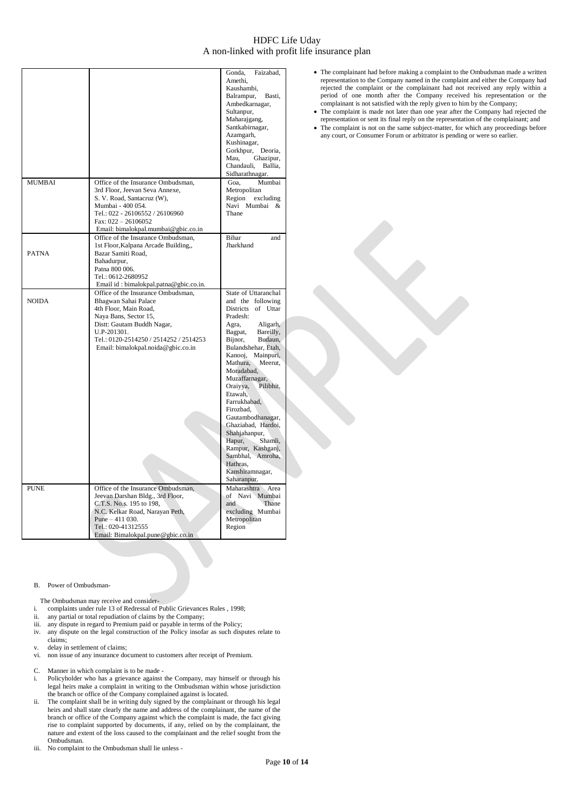|               |                                                                                                                                                                                                                                           | Gonda,<br>Faizabad,<br>Amethi,<br>Kaushambi,<br>Balrampur,<br>Basti,<br>Ambedkarnagar,<br>Sultanpur,<br>Maharajgang,<br>Santkabirnagar,<br>Azamgarh,<br>Kushinagar,<br>Gorkhpur, Deoria,<br>Mau,<br>Ghazipur,<br>Chandauli,<br>Ballia,<br>Sidharathnagar.                                                                                                                                                                                                                                  |
|---------------|-------------------------------------------------------------------------------------------------------------------------------------------------------------------------------------------------------------------------------------------|--------------------------------------------------------------------------------------------------------------------------------------------------------------------------------------------------------------------------------------------------------------------------------------------------------------------------------------------------------------------------------------------------------------------------------------------------------------------------------------------|
| <b>MUMBAI</b> | Office of the Insurance Ombudsman,<br>3rd Floor, Jeevan Seva Annexe,<br>S. V. Road, Santacruz (W),<br>Mumbai - 400 054.<br>Tel.: 022 - 26106552 / 26106960<br>Fax: $022 - 26106052$                                                       | Goa.<br>Mumbai<br>Metropolitan<br>Region excluding<br>Navi Mumbai<br>&<br>Thane                                                                                                                                                                                                                                                                                                                                                                                                            |
| <b>PATNA</b>  | Email: bimalokpal.mumbai@gbic.co.in<br>Office of the Insurance Ombudsman,<br>1st Floor, Kalpana Arcade Building,,<br>Bazar Samiti Road,<br>Bahadurpur,<br>Patna 800 006.<br>Tel.: 0612-2680952<br>Email id: bimalokpal.patna@gbic.co.in.  | Bihar<br>and<br>Jharkhand                                                                                                                                                                                                                                                                                                                                                                                                                                                                  |
| <b>NOIDA</b>  | Office of the Insurance Ombudsman,<br>Bhagwan Sahai Palace<br>4th Floor, Main Road,<br>Naya Bans, Sector 15,<br>Distt: Gautam Buddh Nagar,<br>U.P-201301.<br>Tel.: 0120-2514250 / 2514252 / 2514253<br>Email: bimalokpal.noida@gbic.co.in | State of Uttaranchal<br>and the following<br>Districts of Uttar<br>Pradesh:<br>Aligarh,<br>Agra,<br>Bagpat,<br>Bareilly,<br>Bijnor,<br>Budaun,<br>Bulandshehar, Etah,<br>Kanooj, Mainpuri,<br>Mathura,<br>Meerut,<br>Moradabad.<br>Muzaffarnagar,<br>Oraiyya,<br>Pilibhit,<br>Etawah,<br>Farrukhabad,<br>Firozbad.<br>Gautambodhanagar,<br>Ghaziabad, Hardoi,<br>Shahjahanpur,<br>Hapur,<br>Shamli,<br>Rampur, Kashganj,<br>Sambhal, Amroha,<br>Hathras,<br>Kanshiramnagar,<br>Saharanpur. |
| <b>PUNE</b>   | Office of the Insurance Ombudsman,<br>Jeevan Darshan Bldg., 3rd Floor,<br>C.T.S. No.s. 195 to 198,<br>N.C. Kelkar Road, Narayan Peth,<br>Pune $-411$ 030.<br>Tel.: 020-41312555<br>Email: Bimalokpal.pune@gbic.co.in                      | Maharashtra Area<br>of Navi Mumbai<br>and<br>Thane<br>excluding Mumbai<br>Metropolitan<br>Region                                                                                                                                                                                                                                                                                                                                                                                           |

- The complainant had before making a complaint to the Ombudsman made a written representation to the Company named in the complaint and either the Company had rejected the complaint or the complainant had not received any reply within a period of one month after the Company received his representation or the complainant is not satisfied with the reply given to him by the Company;
- The complaint is made not later than one year after the Company had rejected the representation or sent its final reply on the representation of the complainant; and
- The complaint is not on the same subject-matter, for which any proceedings before any court, or Consumer Forum or arbitrator is pending or were so earlier.

### B. Power of Ombudsman-

The Ombudsman may receive and consider-

- i. complaints under rule 13 of Redressal of Public Grievances Rules , 1998;<br>ii. any partial or total repudiation of claims by the Company;
- any partial or total repudiation of claims by the Company;
- iii. any dispute in regard to Premium paid or payable in terms of the Policy;
- iv. any dispute on the legal construction of the Policy insofar as such disputes relate to claims;
- v. delay in settlement of claims;<br>vi. non issue of any insurance do
- non issue of any insurance document to customers after receipt of Premium.
- C. Manner in which complaint is to be made -
- Policyholder who has a grievance against the Company, may himself or through his legal heirs make a complaint in writing to the Ombudsman within whose jurisdiction the branch or office of the Company complained against is located.
- ii. The complaint shall be in writing duly signed by the complainant or through his legal heirs and shall state clearly the name and address of the complainant, the name of the branch or office of the Company against which the complaint is made, the fact giving rise to complaint supported by documents, if any, relied on by the complainant, the nature and extent of the loss caused to the complainant and the relief sought from the Ombudsman.
- iii. No complaint to the Ombudsman shall lie unless -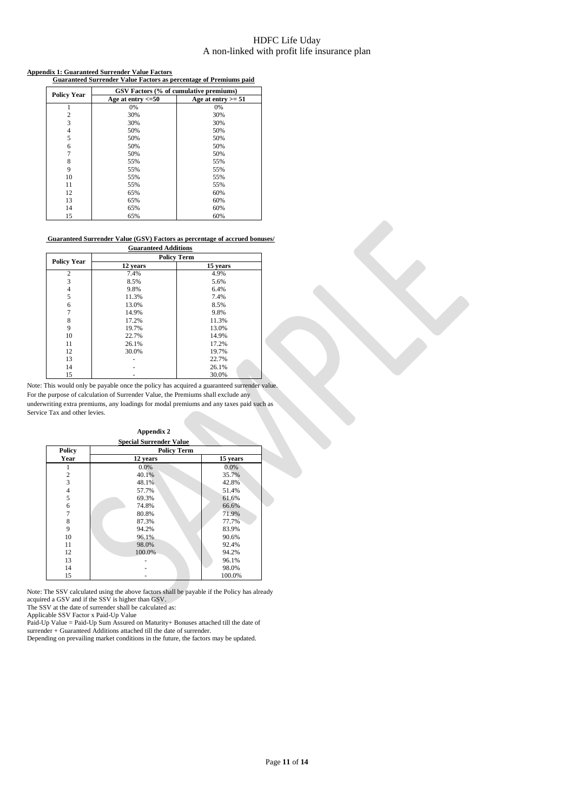### **Appendix 1: Guaranteed Surrender Value Factors**

| aux 1. Guaraniccu burrenucr 7 anne Paciors<br><b>Guaranteed Surrender Value Factors as percentage of Premiums paid</b> |                                        |                      |  |  |
|------------------------------------------------------------------------------------------------------------------------|----------------------------------------|----------------------|--|--|
| <b>Policy Year</b>                                                                                                     | GSV Factors (% of cumulative premiums) |                      |  |  |
|                                                                                                                        | Age at entry $\leq 50$                 | Age at entry $>= 51$ |  |  |
|                                                                                                                        | 0%                                     | 0%                   |  |  |
| 2                                                                                                                      | 30%                                    | 30%                  |  |  |
| 3                                                                                                                      | 30%                                    | 30%                  |  |  |
| 4                                                                                                                      | 50%                                    | 50%                  |  |  |
| 5                                                                                                                      | 50%                                    | 50%                  |  |  |
| 6                                                                                                                      | 50%                                    | 50%                  |  |  |
| 7                                                                                                                      | 50%                                    | 50%                  |  |  |
| 8                                                                                                                      | 55%                                    | 55%                  |  |  |
| 9                                                                                                                      | 55%                                    | 55%                  |  |  |
| 10                                                                                                                     | 55%                                    | 55%                  |  |  |
| 11                                                                                                                     | 55%                                    | 55%                  |  |  |
| 12                                                                                                                     | 65%                                    | 60%                  |  |  |
| 13                                                                                                                     | 65%                                    | 60%                  |  |  |
| 14                                                                                                                     | 65%                                    | 60%                  |  |  |
| 15                                                                                                                     | 65%                                    | 60%                  |  |  |

### **Guaranteed Surrender Value (GSV) Factors as percentage of accrued bonuses/ Guaranteed Additions**

|                    |          | <b>Policy Term</b> |
|--------------------|----------|--------------------|
| <b>Policy Year</b> | 12 years | 15 years           |
| $\overline{2}$     | 7.4%     | 4.9%               |
| 3                  | 8.5%     | 5.6%               |
| 4                  | 9.8%     | 6.4%               |
| 5                  | 11.3%    | 7.4%               |
| 6                  | 13.0%    | 8.5%               |
| 7                  | 14.9%    | 9.8%               |
| 8                  | 17.2%    | 11.3%              |
| 9                  | 19.7%    | 13.0%              |
| 10                 | 22.7%    | 14.9%              |
| 11                 | 26.1%    | 17.2%              |
| 12                 | 30.0%    | 19.7%              |
| 13                 |          | 22.7%              |
| 14                 |          | 26.1%              |
| 15                 |          | 30.0%              |

Note: This would only be payable once the policy has acquired a guaranteed surrender value. For the purpose of calculation of Surrender Value, the Premiums shall exclude any underwriting extra premiums, any loadings for modal premiums and any taxes paid such as Service Tax and other levies.

| <b>Special Surrender Value</b> |                    |          |  |  |
|--------------------------------|--------------------|----------|--|--|
| <b>Policy</b>                  | <b>Policy Term</b> |          |  |  |
| Year                           | 12 years           | 15 years |  |  |
|                                | 0.0%               | 0.0%     |  |  |
| 2                              | 40.1%              | 35.7%    |  |  |
| $\overline{3}$                 | 48.1%              | 42.8%    |  |  |
| 4                              | 57.7%              | 51.4%    |  |  |
| 5                              | 69.3%              | 61.6%    |  |  |
| 6                              | 74.8%              | 66.6%    |  |  |
| 7                              | 80.8%              | 71.9%    |  |  |
| 8                              | 87.3%              | 77.7%    |  |  |
| 9                              | 94.2%              | 83.9%    |  |  |
| 10                             | 96.1%              | 90.6%    |  |  |
| 11                             | 98.0%              | 92.4%    |  |  |
| 12                             | 100.0%             | 94.2%    |  |  |
| 13                             |                    | 96.1%    |  |  |
| 14                             |                    | 98.0%    |  |  |
| 15                             |                    | 100.0%   |  |  |

**Appendix 2**

Note: The SSV calculated using the above factors shall be payable if the Policy has already acquired a GSV and if the SSV is higher than GSV.

The SSV at the date of surrender shall be calculated as:

Applicable SSV Factor x Paid-Up Value

Paid-Up Value = Paid-Up Sum Assured on Maturity+ Bonuses attached till the date of

surrender + Guaranteed Additions attached till the date of surrender.

Depending on prevailing market conditions in the future, the factors may be updated.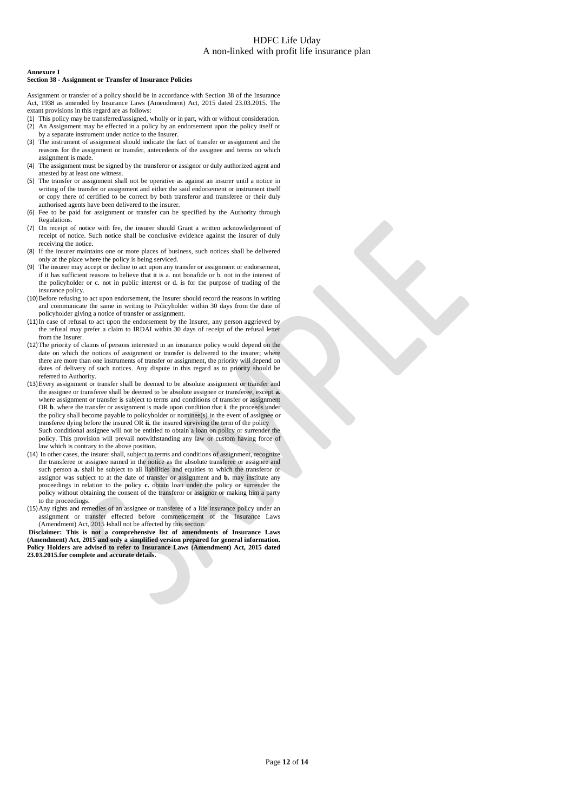### **Annexure I**

### **Section 38 - Assignment or Transfer of Insurance Policies**

Assignment or transfer of a policy should be in accordance with Section 38 of the Insurance Act, 1938 as amended by Insurance Laws (Amendment) Act, 2015 dated 23.03.2015. The extant provisions in this regard are as follows:

- (1) This policy may be transferred/assigned, wholly or in part, with or without consideration. (2) An Assignment may be effected in a policy by an endorsement upon the policy itself or
- by a separate instrument under notice to the Insurer. (3) The instrument of assignment should indicate the fact of transfer or assignment and the reasons for the assignment or transfer, antecedents of the assignee and terms on which assignment is made.
- (4) The assignment must be signed by the transferor or assignor or duly authorized agent and attested by at least one witness.
- (5) The transfer or assignment shall not be operative as against an insurer until a notice in writing of the transfer or assignment and either the said endorsement or instrument itself or copy there of certified to be correct by both transferor and transferee or their duly authorised agents have been delivered to the insurer.
- (6) Fee to be paid for assignment or transfer can be specified by the Authority through Regulations.
- (7) On receipt of notice with fee, the insurer should Grant a written acknowledgement of receipt of notice. Such notice shall be conclusive evidence against the insurer of duly receiving the notice.
- (8) If the insurer maintains one or more places of business, such notices shall be delivered only at the place where the policy is being serviced.
- The insurer may accept or decline to act upon any transfer or assignment or endorsement, if it has sufficient reasons to believe that it is a. not bonafide or b. not in the interest of the policyholder or c. not in public interest or d. is for the purpose of trading of the insurance policy.
- (10)Before refusing to act upon endorsement, the Insurer should record the reasons in writing and communicate the same in writing to Policyholder within 30 days from the date of policyholder giving a notice of transfer or assignment.
- (11)In case of refusal to act upon the endorsement by the Insurer, any person aggrieved by the refusal may prefer a claim to IRDAI within 30 days of receipt of the refusal letter from the Insurer.
- (12)The priority of claims of persons interested in an insurance policy would depend on the date on which the notices of assignment or transfer is delivered to the insurer; where there are more than one instruments of transfer or assignment, the priority will depend on dates of delivery of such notices. Any dispute in this regard as to priority should be referred to Authority.
- (13)Every assignment or transfer shall be deemed to be absolute assignment or transfer and the assignee or transferee shall be deemed to be absolute assignee or transferee, except **a.** where assignment or transfer is subject to terms and conditions of transfer or assignment OR **b**. where the transfer or assignment is made upon condition that **i**. the proceeds under the policy shall become payable to policyholder or nominee(s) in the event of assignee or transferee dying before the insured OR **ii.** the insured surviving the term of the policy Such conditional assignee will not be entitled to obtain a loan on policy or surrender the policy. This provision will prevail notwithstanding any law or custom having force of law which is contrary to the above position.
- (14) In other cases, the insurer shall, subject to terms and conditions of assignment, recognize the transferee or assignee named in the notice as the absolute transferee or assignee and such person **a.** shall be subject to all liabilities and equities to which the transferor or assignor was subject to at the date of transfer or assignment and **b.** may institute any proceedings in relation to the policy **c.** obtain loan under the policy or surrender the policy without obtaining the consent of the transferor or assignor or making him a party to the proceedings.
- (15)Any rights and remedies of an assignee or transferee of a life insurance policy under an assignment or transfer effected before commencement of the Insurance Laws (Amendment) Act, 2015 Ishall not be affected by this section.

**Disclaimer: This is not a comprehensive list of amendments of Insurance Laws (Amendment) Act, 2015 and only a simplified version prepared for general information. Policy Holders are advised to refer to Insurance Laws (Amendment) Act, 2015 dated 23.03.2015 for complete and accurate details.**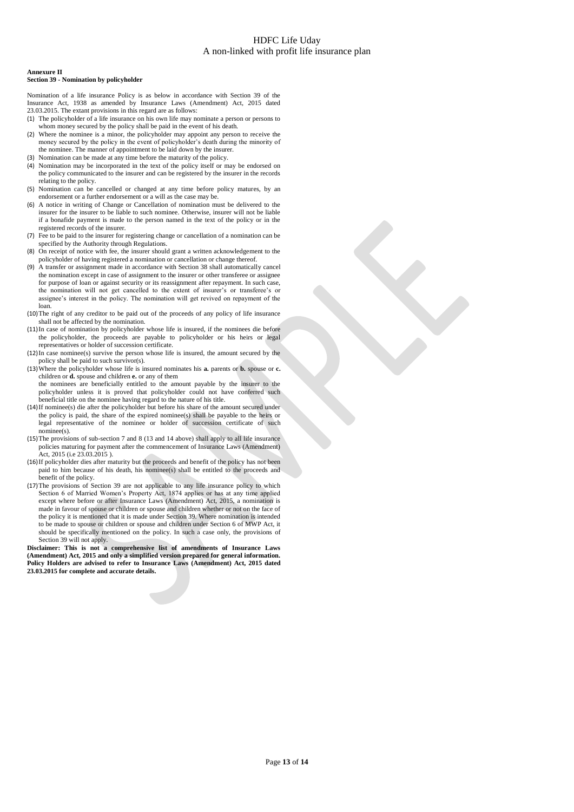### **Annexure II**

### **Section 39 - Nomination by policyholder**

Nomination of a life insurance Policy is as below in accordance with Section 39 of the Insurance Act, 1938 as amended by Insurance Laws (Amendment) Act, 2015 dated 23.03.2015. The extant provisions in this regard are as follows:

- (1) The policyholder of a life insurance on his own life may nominate a person or persons to whom money secured by the policy shall be paid in the event of his death.
- (2) Where the nominee is a minor, the policyholder may appoint any person to receive the money secured by the policy in the event of policyholder's death during the minority of the nominee. The manner of appointment to be laid down by the insurer.
- (3) Nomination can be made at any time before the maturity of the policy.
- (4) Nomination may be incorporated in the text of the policy itself or may be endorsed on the policy communicated to the insurer and can be registered by the insurer in the records relating to the policy.
- (5) Nomination can be cancelled or changed at any time before policy matures, by an endorsement or a further endorsement or a will as the case may be.
- (6) A notice in writing of Change or Cancellation of nomination must be delivered to the insurer for the insurer to be liable to such nominee. Otherwise, insurer will not be liable if a bonafide payment is made to the person named in the text of the policy or in the registered records of the insurer.
- (7) Fee to be paid to the insurer for registering change or cancellation of a nomination can be specified by the Authority through Regulations.
- (8) On receipt of notice with fee, the insurer should grant a written acknowledgement to the policyholder of having registered a nomination or cancellation or change thereof.
- A transfer or assignment made in accordance with Section 38 shall automatically cancel the nomination except in case of assignment to the insurer or other transferee or assignee for purpose of loan or against security or its reassignment after repayment. In such case, the nomination will not get cancelled to the extent of insurer's or transferee's or assignee's interest in the policy. The nomination will get revived on repayment of the loan.
- (10)The right of any creditor to be paid out of the proceeds of any policy of life insurance shall not be affected by the nomination.
- (11)In case of nomination by policyholder whose life is insured, if the nominees die before the policyholder, the proceeds are payable to policyholder or his heirs or legal representatives or holder of succession certificate.
- (12)In case nominee(s) survive the person whose life is insured, the amount secured by the policy shall be paid to such survivor(s).
- (13)Where the policyholder whose life is insured nominates his **a.** parents or **b.** spouse or **c.** children or **d.** spouse and children **e.** or any of them the nominees are beneficially entitled to the amount payable by the insurer to the policyholder unless it is proved that policyholder could not have conferred such beneficial title on the nominee having regard to the nature of his title.
- (14)If nominee(s) die after the policyholder but before his share of the amount secured under the policy is paid, the share of the expired nominee(s) shall be payable to the heirs or legal representative of the nominee or holder of succession certificate of such nominee(s).
- (15)The provisions of sub-section 7 and 8 (13 and 14 above) shall apply to all life insurance policies maturing for payment after the commencement of Insurance Laws (Amendment) Act, 2015 (i.e 23.03.2015).
- (16)If policyholder dies after maturity but the proceeds and benefit of the policy has not been paid to him because of his death, his nominee(s) shall be entitled to the proceeds and benefit of the policy.
- (17)The provisions of Section 39 are not applicable to any life insurance policy to which Section 6 of Married Women's Property Act, 1874 applies or has at any time applied except where before or after Insurance Laws (Amendment) Act, 2015, a nomination is made in favour of spouse or children or spouse and children whether or not on the face of the policy it is mentioned that it is made under Section 39. Where nomination is intended to be made to spouse or children or spouse and children under Section 6 of MWP Act, it should be specifically mentioned on the policy. In such a case only, the provisions of Section 39 will not apply.

**Disclaimer: This is not a comprehensive list of amendments of Insurance Laws (Amendment) Act, 2015 and only a simplified version prepared for general information. Policy Holders are advised to refer to Insurance Laws (Amendment) Act, 2015 dated 23.03.2015 for complete and accurate details.**